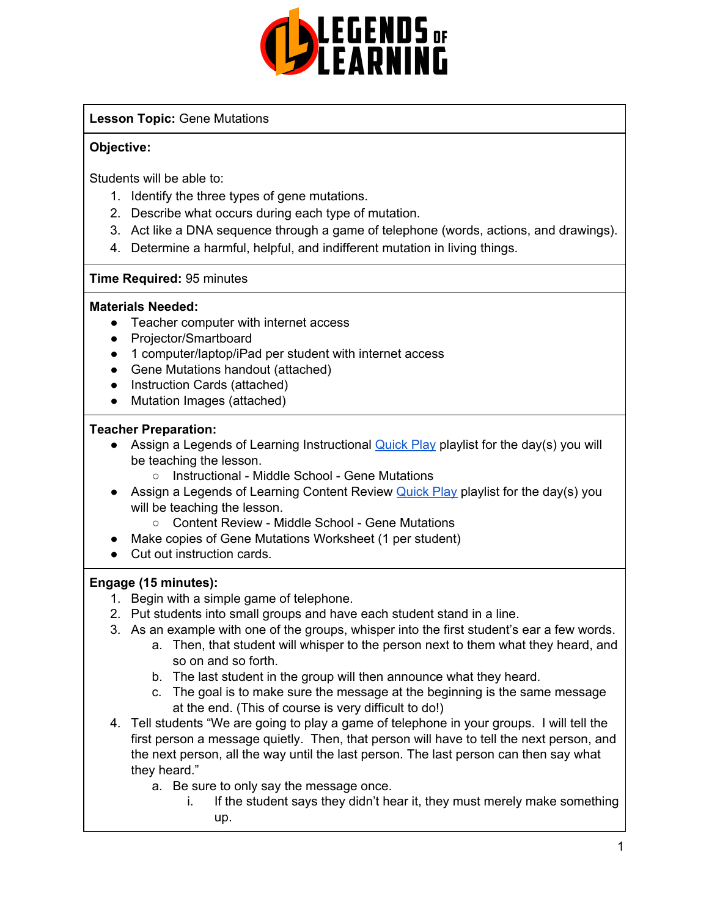

#### **Lesson Topic:** Gene Mutations

#### **Objective:**

Students will be able to:

- 1. Identify the three types of gene mutations.
- 2. Describe what occurs during each type of mutation.
- 3. Act like a DNA sequence through a game of telephone (words, actions, and drawings).
- 4. Determine a harmful, helpful, and indifferent mutation in living things.

#### **Time Required:** 95 minutes

#### **Materials Needed:**

- Teacher computer with internet access
- Projector/Smartboard
- 1 computer/laptop/iPad per student with internet access
- Gene Mutations handout (attached)
- Instruction Cards (attached)
- Mutation Images (attached)

#### **Teacher Preparation:**

- Assign a Legends of Learning Instructional **[Quick](https://intercom.help/legends-of-learning/en/articles/2701866-assigning-a-quick-play-playlist) Play playlist for the day(s)** you will be teaching the lesson.
	- Instructional Middle School Gene Mutations
- Assign a Legends of Learning Content Review [Quick](https://intercom.help/legends-of-learning/en/articles/2701866-assigning-a-quick-play-playlist) Play playlist for the day(s) you will be teaching the lesson.
	- Content Review Middle School Gene Mutations
- Make copies of Gene Mutations Worksheet (1 per student)
- Cut out instruction cards.

#### **Engage (15 minutes):**

- 1. Begin with a simple game of telephone.
- 2. Put students into small groups and have each student stand in a line.
- 3. As an example with one of the groups, whisper into the first student's ear a few words.
	- a. Then, that student will whisper to the person next to them what they heard, and so on and so forth.
	- b. The last student in the group will then announce what they heard.
	- c. The goal is to make sure the message at the beginning is the same message at the end. (This of course is very difficult to do!)
- 4. Tell students "We are going to play a game of telephone in your groups. I will tell the first person a message quietly. Then, that person will have to tell the next person, and the next person, all the way until the last person. The last person can then say what they heard."
	- a. Be sure to only say the message once.
		- i. If the student says they didn't hear it, they must merely make something up.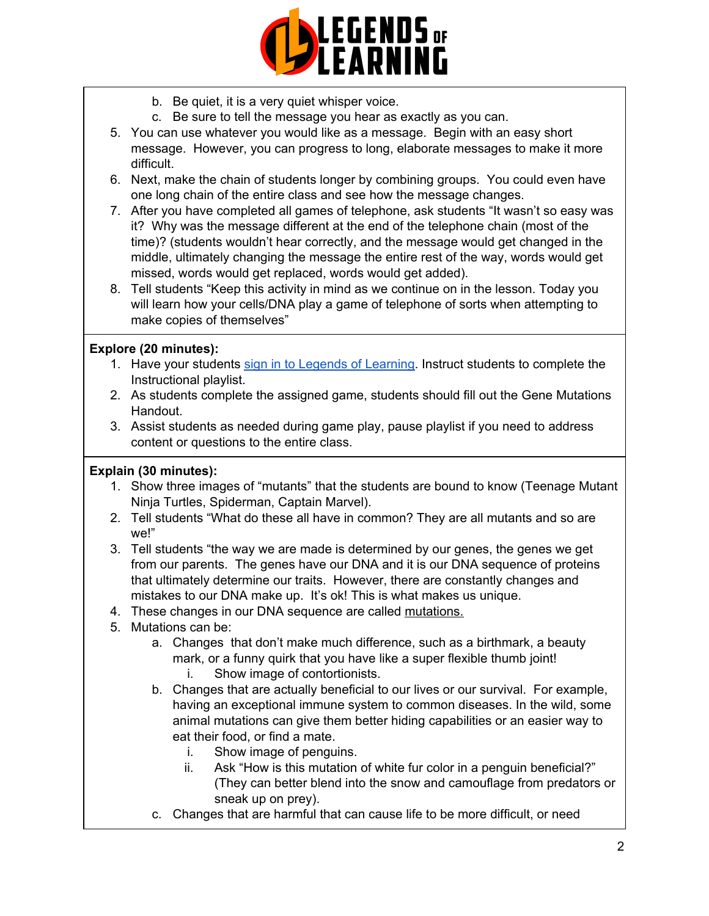

- b. Be quiet, it is a very quiet whisper voice.
- c. Be sure to tell the message you hear as exactly as you can.
- 5. You can use whatever you would like as a message. Begin with an easy short message. However, you can progress to long, elaborate messages to make it more difficult.
- 6. Next, make the chain of students longer by combining groups. You could even have one long chain of the entire class and see how the message changes.
- 7. After you have completed all games of telephone, ask students "It wasn't so easy was it? Why was the message different at the end of the telephone chain (most of the time)? (students wouldn't hear correctly, and the message would get changed in the middle, ultimately changing the message the entire rest of the way, words would get missed, words would get replaced, words would get added).
- 8. Tell students "Keep this activity in mind as we continue on in the lesson. Today you will learn how your cells/DNA play a game of telephone of sorts when attempting to make copies of themselves"

#### **Explore (20 minutes):**

- 1. Have your students sign in to Legends of [Learning](https://intercom.help/legends-of-learning/en/articles/2154920-students-joining-a-playlist). Instruct students to complete the Instructional playlist.
- 2. As students complete the assigned game, students should fill out the Gene Mutations Handout.
- 3. Assist students as needed during game play, pause playlist if you need to address content or questions to the entire class.

#### **Explain (30 minutes):**

- 1. Show three images of "mutants" that the students are bound to know (Teenage Mutant Ninja Turtles, Spiderman, Captain Marvel).
- 2. Tell students "What do these all have in common? They are all mutants and so are we!"
- 3. Tell students "the way we are made is determined by our genes, the genes we get from our parents. The genes have our DNA and it is our DNA sequence of proteins that ultimately determine our traits. However, there are constantly changes and mistakes to our DNA make up. It's ok! This is what makes us unique.
- 4. These changes in our DNA sequence are called mutations.
- 5. Mutations can be:
	- a. Changes that don't make much difference, such as a birthmark, a beauty mark, or a funny quirk that you have like a super flexible thumb joint!
		- i. Show image of contortionists.
	- b. Changes that are actually beneficial to our lives or our survival. For example, having an exceptional immune system to common diseases. In the wild, some animal mutations can give them better hiding capabilities or an easier way to eat their food, or find a mate.
		- i. Show image of penguins.
		- ii. Ask "How is this mutation of white fur color in a penguin beneficial?" (They can better blend into the snow and camouflage from predators or sneak up on prey).
	- c. Changes that are harmful that can cause life to be more difficult, or need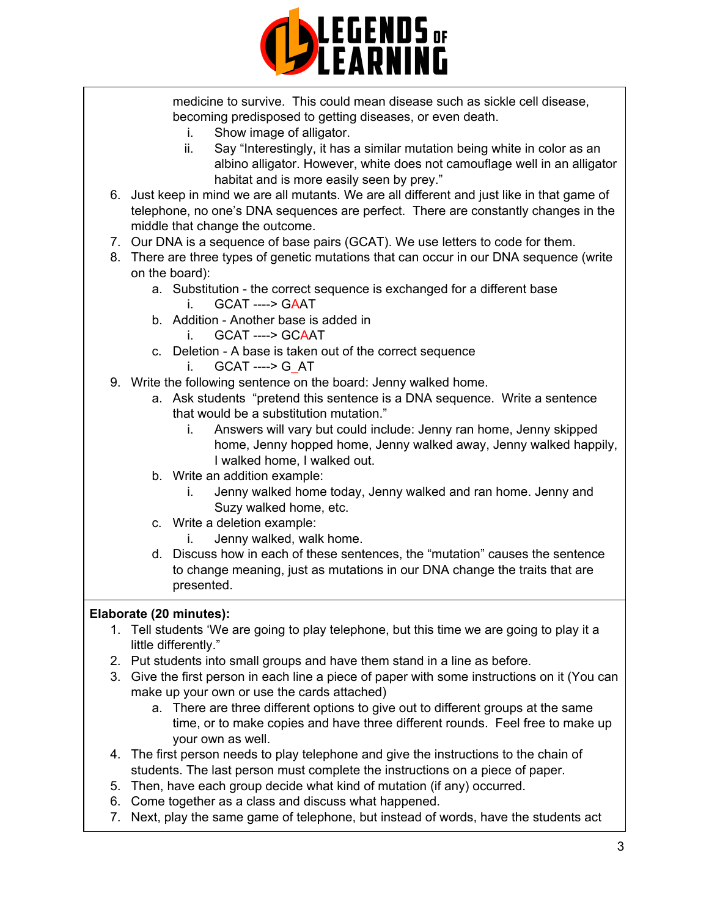

medicine to survive. This could mean disease such as sickle cell disease, becoming predisposed to getting diseases, or even death.

- i. Show image of alligator.
- ii. Say "Interestingly, it has a similar mutation being white in color as an albino alligator. However, white does not camouflage well in an alligator habitat and is more easily seen by prey."
- 6. Just keep in mind we are all mutants. We are all different and just like in that game of telephone, no one's DNA sequences are perfect. There are constantly changes in the middle that change the outcome.
- 7. Our DNA is a sequence of base pairs (GCAT). We use letters to code for them.
- 8. There are three types of genetic mutations that can occur in our DNA sequence (write on the board):
	- a. Substitution the correct sequence is exchanged for a different base i. GCAT ----> GAAT
	- b. Addition Another base is added in
		- i. GCAT ----> GCAAT
	- c. Deletion A base is taken out of the correct sequence
		- i. GCAT ----> G\_AT
- 9. Write the following sentence on the board: Jenny walked home.
	- a. Ask students "pretend this sentence is a DNA sequence. Write a sentence that would be a substitution mutation."
		- i. Answers will vary but could include: Jenny ran home, Jenny skipped home, Jenny hopped home, Jenny walked away, Jenny walked happily, I walked home, I walked out.
	- b. Write an addition example:
		- i. Jenny walked home today, Jenny walked and ran home. Jenny and Suzy walked home, etc.
	- c. Write a deletion example:
		- i. Jenny walked, walk home.
	- d. Discuss how in each of these sentences, the "mutation" causes the sentence to change meaning, just as mutations in our DNA change the traits that are presented.

#### **Elaborate (20 minutes):**

- 1. Tell students 'We are going to play telephone, but this time we are going to play it a little differently."
- 2. Put students into small groups and have them stand in a line as before.
- 3. Give the first person in each line a piece of paper with some instructions on it (You can make up your own or use the cards attached)
	- a. There are three different options to give out to different groups at the same time, or to make copies and have three different rounds. Feel free to make up your own as well.
- 4. The first person needs to play telephone and give the instructions to the chain of students. The last person must complete the instructions on a piece of paper.
- 5. Then, have each group decide what kind of mutation (if any) occurred.
- 6. Come together as a class and discuss what happened.
- 7. Next, play the same game of telephone, but instead of words, have the students act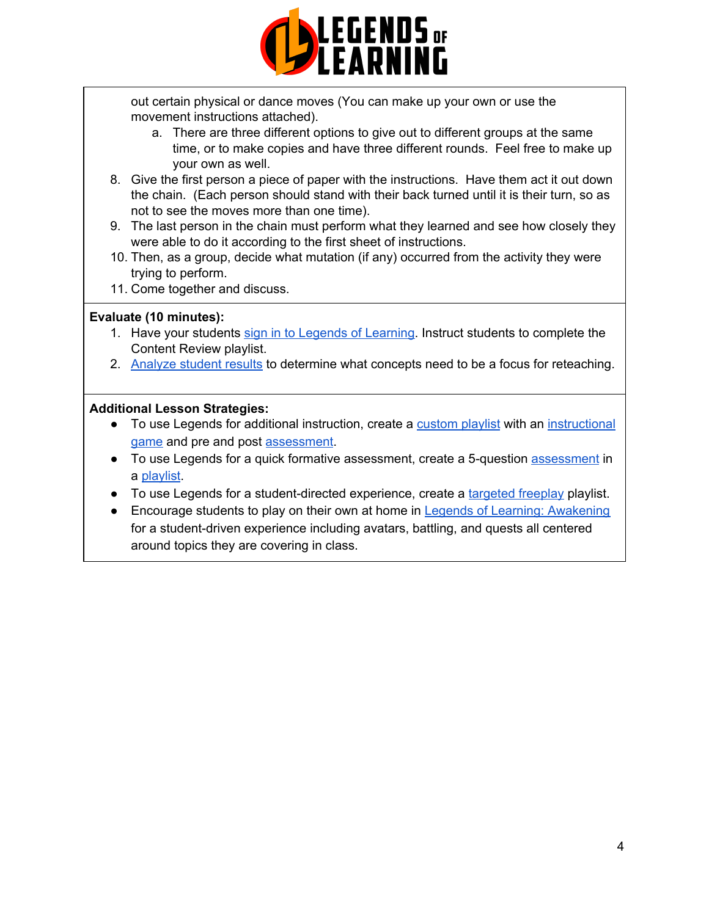

out certain physical or dance moves (You can make up your own or use the movement instructions attached).

- a. There are three different options to give out to different groups at the same time, or to make copies and have three different rounds. Feel free to make up your own as well.
- 8. Give the first person a piece of paper with the instructions. Have them act it out down the chain. (Each person should stand with their back turned until it is their turn, so as not to see the moves more than one time).
- 9. The last person in the chain must perform what they learned and see how closely they were able to do it according to the first sheet of instructions.
- 10. Then, as a group, decide what mutation (if any) occurred from the activity they were trying to perform.
- 11. Come together and discuss.

#### **Evaluate (10 minutes):**

- 1. Have your students sign in to Legends of [Learning](https://intercom.help/legends-of-learning/en/articles/2154920-students-joining-a-playlist). Instruct students to complete the Content Review playlist.
- 2. [Analyze](https://intercom.help/legends-of-learning/en/articles/2154918-tracking-student-progress-and-performance) student results to determine what concepts need to be a focus for reteaching.

#### **Additional Lesson Strategies:**

- To use Legends for additional instruction, create a [custom](https://intercom.help/legends-of-learning/en/articles/2154910-creating-a-playlist) playlist with an [instructional](https://intercom.help/legends-of-learning/en/articles/3505828-types-of-games) [game](https://intercom.help/legends-of-learning/en/articles/3505828-types-of-games) and pre and post [assessment](https://intercom.help/legends-of-learning/en/articles/2154913-adding-assessments-to-a-playlist).
- To use Legends for a quick formative [assessment](https://intercom.help/legends-of-learning/en/articles/2154913-adding-assessments-to-a-playlist), create a 5-question assessment in a [playlist](https://intercom.help/legends-of-learning/en/articles/2154910-creating-a-playlist).
- To use Legends for a student-directed experience, create a [targeted](https://intercom.help/legends-of-learning/en/articles/3340814-targeted-freeplay) freeplay playlist.
- Encourage students to play on their own at home in Legends of Learning: [Awakening](https://intercom.help/legends-of-learning/en/articles/2425490-legends-of-learning-awakening) for a student-driven experience including avatars, battling, and quests all centered around topics they are covering in class.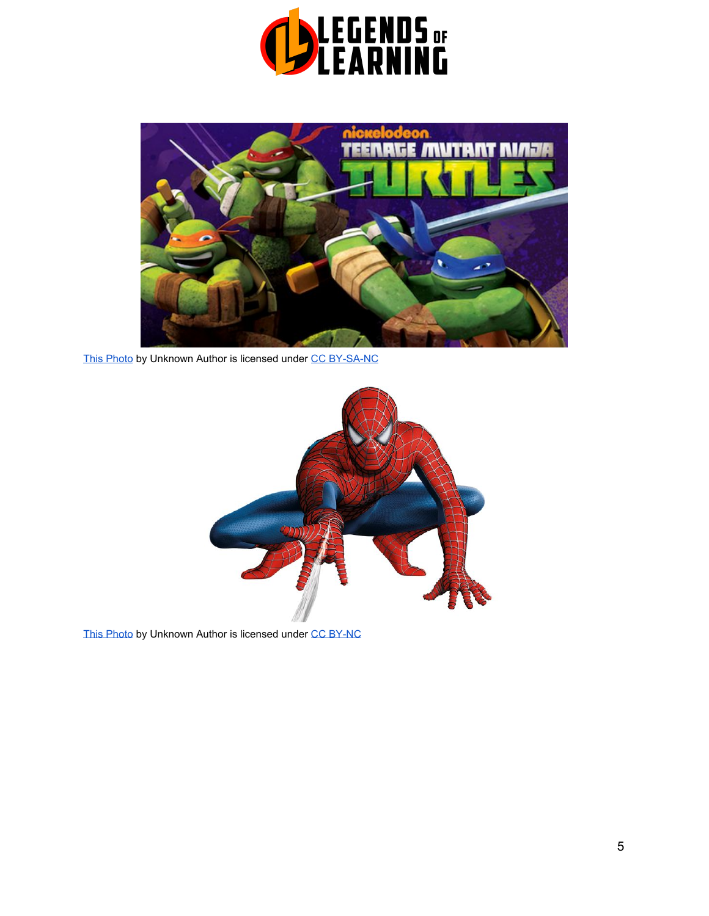



[This Photo](https://geekalabama.com/tag/dragons-riders-of-berk/) by Unknown Author is licensed unde[r](https://creativecommons.org/licenses/by-nc-sa/3.0/) [CC BY-SA-NC](https://creativecommons.org/licenses/by-nc-sa/3.0/)



[This Photo](http://www.pngall.com/spider-man-png) by Unknown Autho[r](https://creativecommons.org/licenses/by-nc/3.0/) is licensed under [CC BY-NC](https://creativecommons.org/licenses/by-nc/3.0/)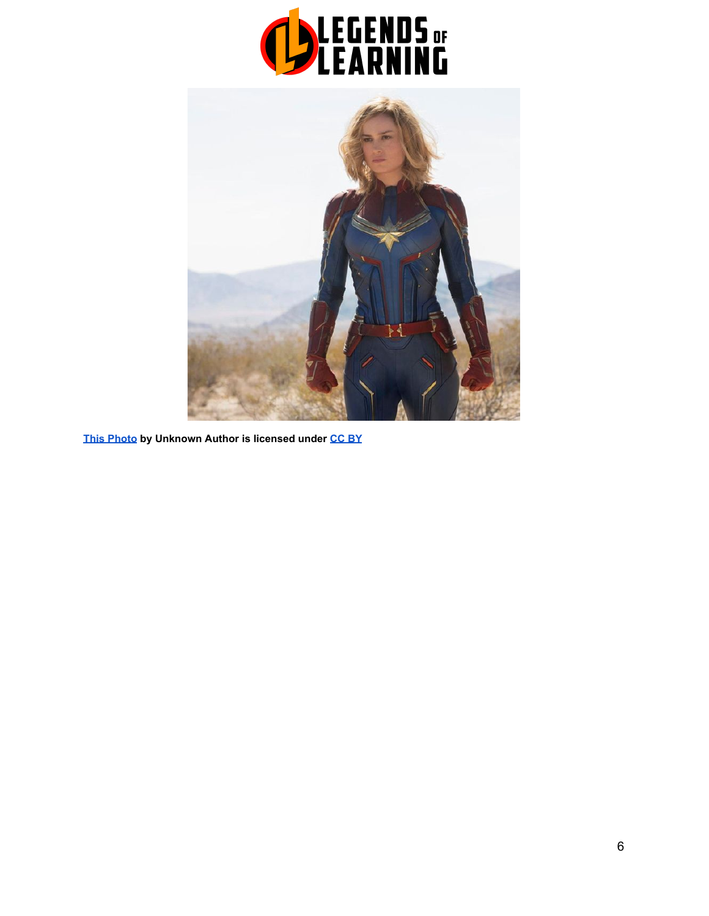



**[This Photo](https://fabiusmaximus.com/2019/03/08/review-of-captain-marvel/) by Unknown Author is licensed under [CC BY](https://creativecommons.org/licenses/by/3.0/)**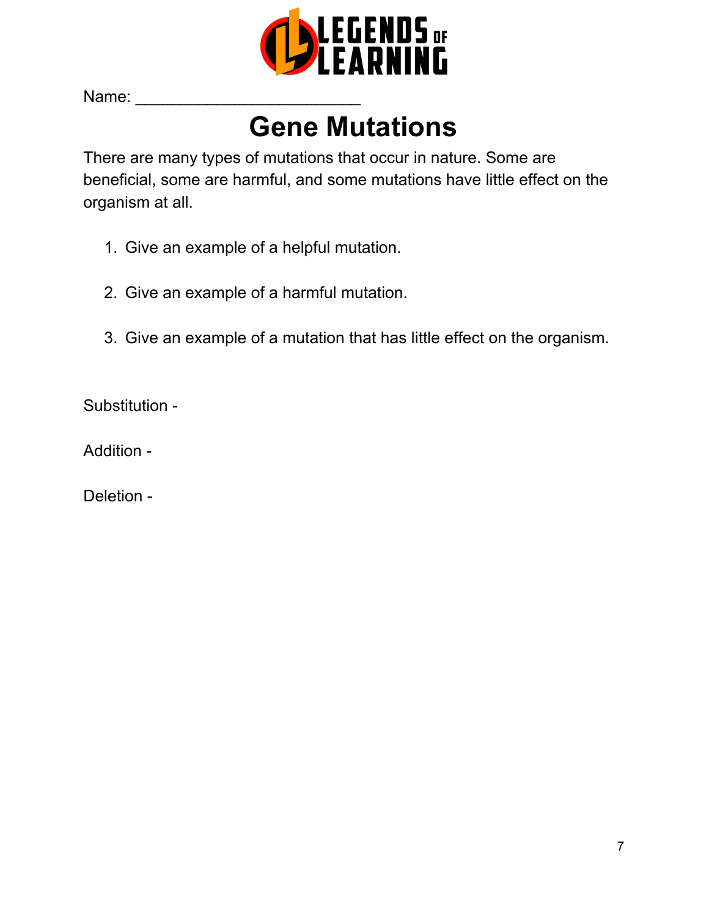

Name:

# **Gene Mutations**

There are many types of mutations that occur in nature. Some are beneficial, some are harmful, and some mutations have little effect on the organism at all.

- 1. Give an example of a helpful mutation.
- 2. Give an example of a harmful mutation.
- 3. Give an example of a mutation that has little effect on the organism.

Substitution -

Addition -

Deletion -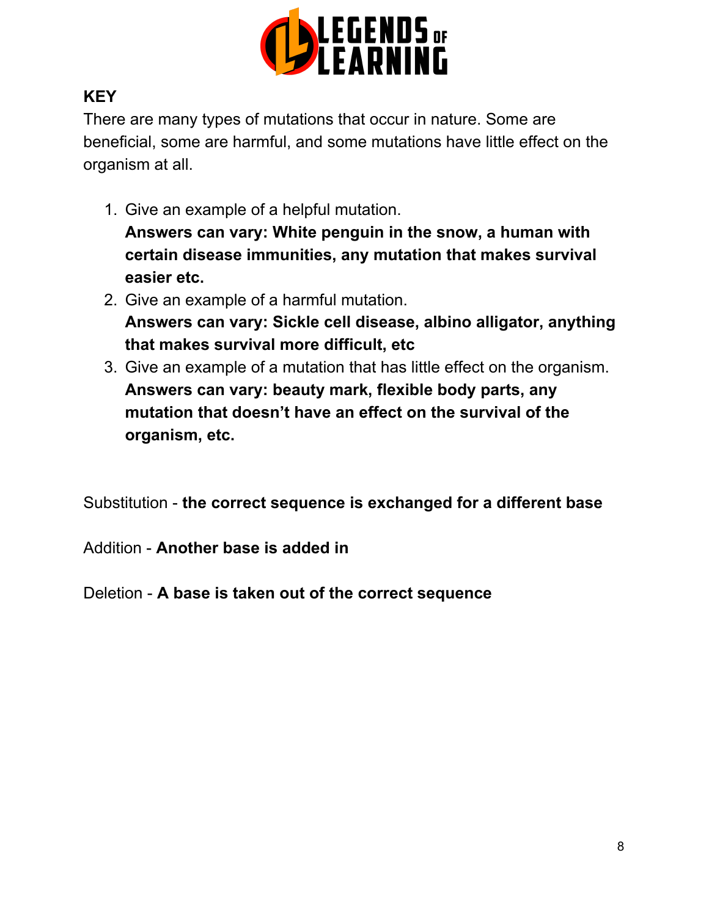

### **KEY**

There are many types of mutations that occur in nature. Some are beneficial, some are harmful, and some mutations have little effect on the organism at all.

1. Give an example of a helpful mutation.

**Answers can vary: White penguin in the snow, a human with certain disease immunities, any mutation that makes survival easier etc.**

- 2. Give an example of a harmful mutation. **Answers can vary: Sickle cell disease, albino alligator, anything that makes survival more difficult, etc**
- 3. Give an example of a mutation that has little effect on the organism. **Answers can vary: beauty mark, flexible body parts, any mutation that doesn't have an effect on the survival of the organism, etc.**

Substitution - **the correct sequence is exchanged for a different base**

Addition - **Another base is added in**

Deletion - **A base is taken out of the correct sequence**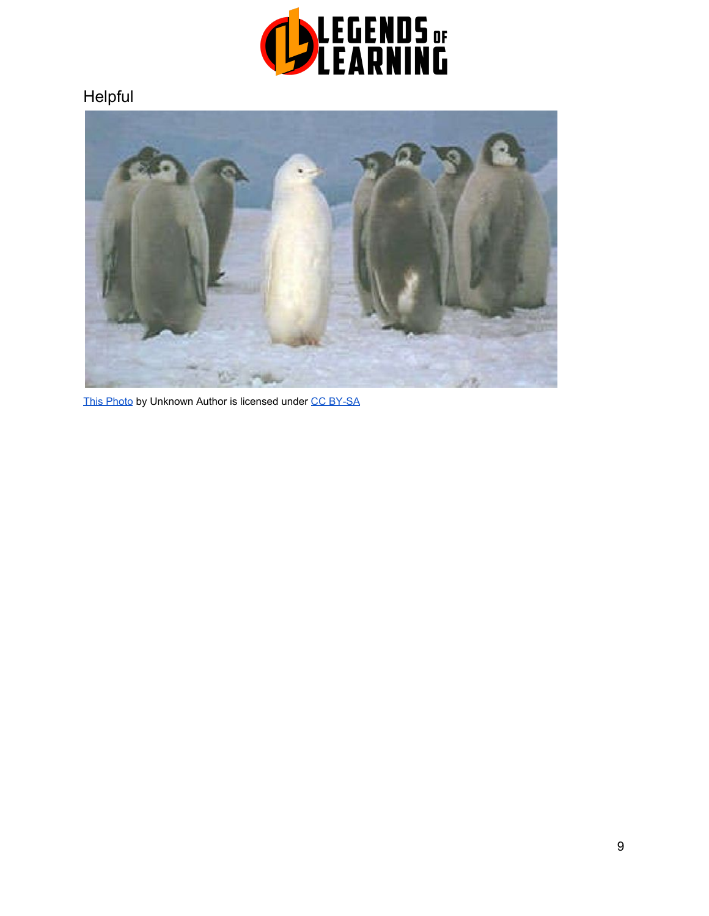

## Helpful



[This Photo](http://www.slideshare.net/kkaiser55/genetic-mutations) by Unknown Autho[r](https://creativecommons.org/licenses/by-sa/3.0/) is licensed under [CC BY-SA](https://creativecommons.org/licenses/by-sa/3.0/)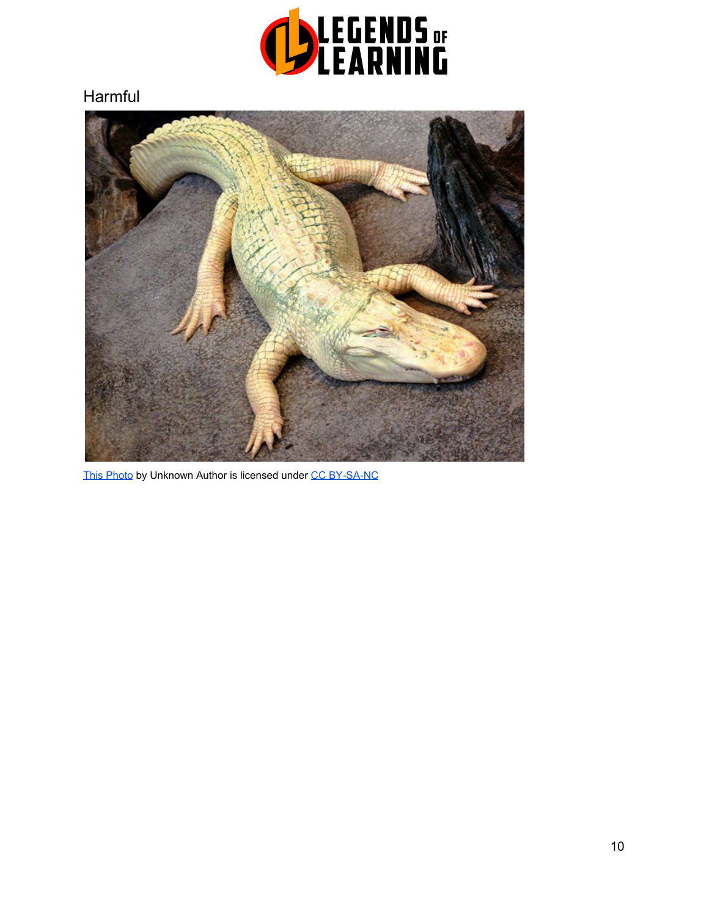

### Harmful



[This Photo](http://bio.libretexts.org/TextMaps/Map:_Introductory_Biology_(CK-12)/4:_Molecular_Biology/4.8:_Mutation_Types) by Unknown Author is licensed unde[r](https://creativecommons.org/licenses/by-nc-sa/3.0/) [CC BY-SA-NC](https://creativecommons.org/licenses/by-nc-sa/3.0/)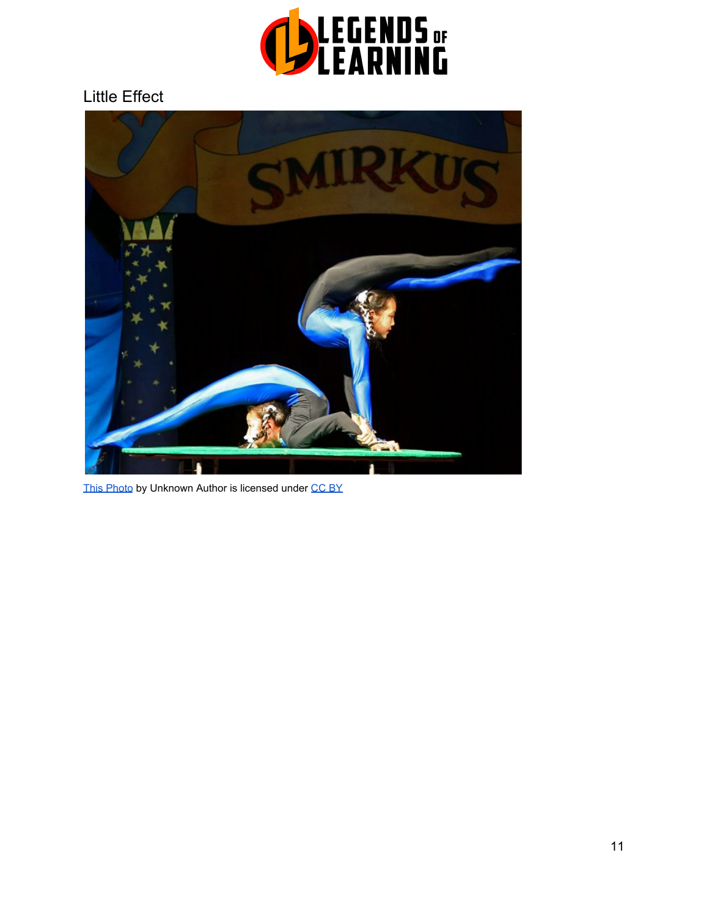

### Little Effect



[This Photo](https://www.flickr.com/photos/85128884@N00/864404596/) by Unknown Autho[r](https://creativecommons.org/licenses/by/3.0/) is licensed under [CC BY](https://creativecommons.org/licenses/by/3.0/)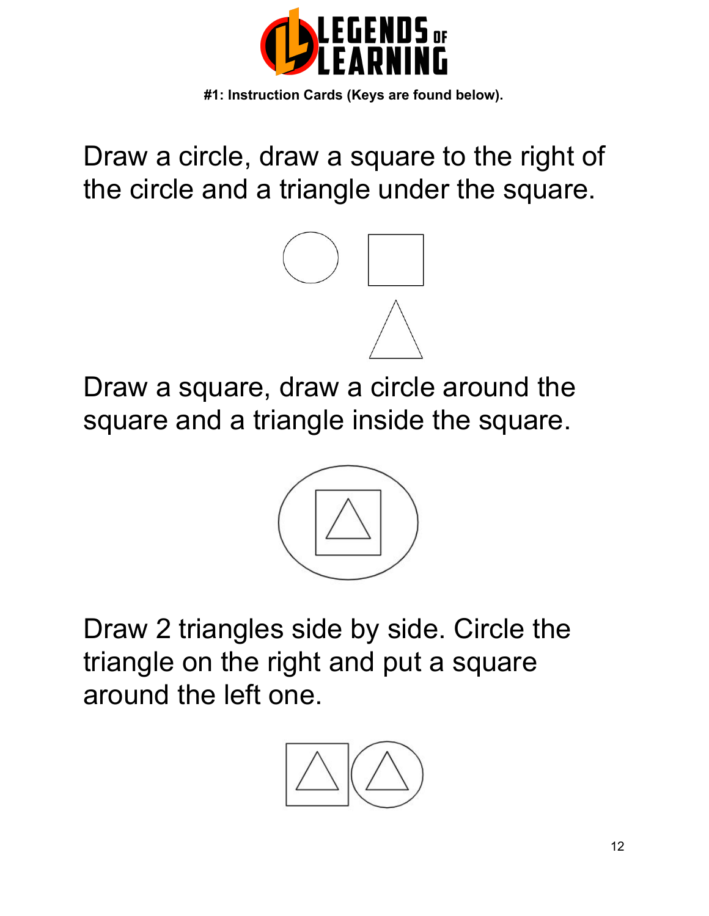

**#1: Instruction Cards (Keys are found below).**

Draw a circle, draw a square to the right of the circle and a triangle under the square.



Draw a square, draw a circle around the square and a triangle inside the square.



Draw 2 triangles side by side. Circle the triangle on the right and put a square around the left one.